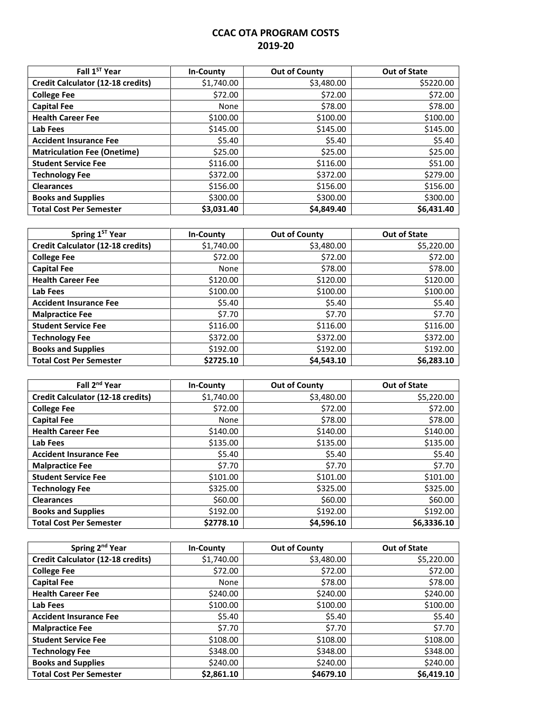## **CCAC OTA PROGRAM COSTS 2019-20**

| Fall 1 <sup>ST</sup> Year                | <b>In-County</b> | <b>Out of County</b> | <b>Out of State</b> |
|------------------------------------------|------------------|----------------------|---------------------|
| <b>Credit Calculator (12-18 credits)</b> | \$1,740.00       | \$3,480.00           | \$5220.00           |
| <b>College Fee</b>                       | \$72.00          | \$72.00              | \$72.00             |
| <b>Capital Fee</b>                       | None             | \$78.00              | \$78.00             |
| <b>Health Career Fee</b>                 | \$100.00         | \$100.00             | \$100.00            |
| Lab Fees                                 | \$145.00         | \$145.00             | \$145.00            |
| <b>Accident Insurance Fee</b>            | \$5.40           | \$5.40               | \$5.40              |
| <b>Matriculation Fee (Onetime)</b>       | \$25.00          | \$25.00              | \$25.00             |
| <b>Student Service Fee</b>               | \$116.00         | \$116.00             | \$51.00             |
| <b>Technology Fee</b>                    | \$372.00         | \$372.00             | \$279.00            |
| <b>Clearances</b>                        | \$156.00         | \$156.00             | \$156.00            |
| <b>Books and Supplies</b>                | \$300.00         | \$300.00             | \$300.00            |
| <b>Total Cost Per Semester</b>           | \$3,031.40       | \$4,849.40           | \$6,431.40          |

| Spring 1ST Year                          | <b>In-County</b> | <b>Out of County</b> | <b>Out of State</b> |
|------------------------------------------|------------------|----------------------|---------------------|
| <b>Credit Calculator (12-18 credits)</b> | \$1,740.00       | \$3,480.00           | \$5,220.00          |
| <b>College Fee</b>                       | \$72.00          | \$72.00              | \$72.00             |
| <b>Capital Fee</b>                       | None             | \$78.00              | \$78.00             |
| <b>Health Career Fee</b>                 | \$120.00         | \$120.00             | \$120.00            |
| Lab Fees                                 | \$100.00         | \$100.00             | \$100.00            |
| <b>Accident Insurance Fee</b>            | \$5.40           | \$5.40               | \$5.40              |
| <b>Malpractice Fee</b>                   | \$7.70           | \$7.70               | \$7.70              |
| <b>Student Service Fee</b>               | \$116.00         | \$116.00             | \$116.00            |
| <b>Technology Fee</b>                    | \$372.00         | \$372.00             | \$372.00            |
| <b>Books and Supplies</b>                | \$192.00         | \$192.00             | \$192.00            |
| <b>Total Cost Per Semester</b>           | \$2725.10        | \$4,543.10           | \$6,283.10          |

| Fall 2 <sup>nd</sup> Year                | <b>In-County</b> | <b>Out of County</b> | <b>Out of State</b> |
|------------------------------------------|------------------|----------------------|---------------------|
| <b>Credit Calculator (12-18 credits)</b> | \$1,740.00       | \$3,480.00           | \$5,220.00          |
| <b>College Fee</b>                       | \$72.00          | \$72.00              | \$72.00             |
| <b>Capital Fee</b>                       | None             | \$78.00              | \$78.00             |
| <b>Health Career Fee</b>                 | \$140.00         | \$140.00             | \$140.00            |
| Lab Fees                                 | \$135.00         | \$135.00             | \$135.00            |
| <b>Accident Insurance Fee</b>            | \$5.40           | \$5.40               | \$5.40              |
| <b>Malpractice Fee</b>                   | \$7.70           | \$7.70               | \$7.70              |
| <b>Student Service Fee</b>               | \$101.00         | \$101.00             | \$101.00            |
| <b>Technology Fee</b>                    | \$325.00         | \$325.00             | \$325.00            |
| <b>Clearances</b>                        | \$60.00          | \$60.00              | \$60.00             |
| <b>Books and Supplies</b>                | \$192.00         | \$192.00             | \$192.00            |
| <b>Total Cost Per Semester</b>           | \$2778.10        | \$4,596.10           | \$6.3336.10         |

| Spring 2 <sup>nd</sup> Year              | <b>In-County</b> | <b>Out of County</b> | <b>Out of State</b> |
|------------------------------------------|------------------|----------------------|---------------------|
| <b>Credit Calculator (12-18 credits)</b> | \$1,740.00       | \$3,480.00           | \$5,220.00          |
| <b>College Fee</b>                       | \$72.00          | \$72.00              | \$72.00             |
| <b>Capital Fee</b>                       | None             | \$78.00              | \$78.00             |
| <b>Health Career Fee</b>                 | \$240.00         | \$240.00             | \$240.00            |
| Lab Fees                                 | \$100.00         | \$100.00             | \$100.00            |
| <b>Accident Insurance Fee</b>            | \$5.40           | \$5.40               | \$5.40              |
| <b>Malpractice Fee</b>                   | \$7.70           | \$7.70               | \$7.70              |
| <b>Student Service Fee</b>               | \$108.00         | \$108.00             | \$108.00            |
| <b>Technology Fee</b>                    | \$348.00         | \$348.00             | \$348.00            |
| <b>Books and Supplies</b>                | \$240.00         | \$240.00             | \$240.00            |
| <b>Total Cost Per Semester</b>           | \$2,861.10       | \$4679.10            | \$6,419.10          |